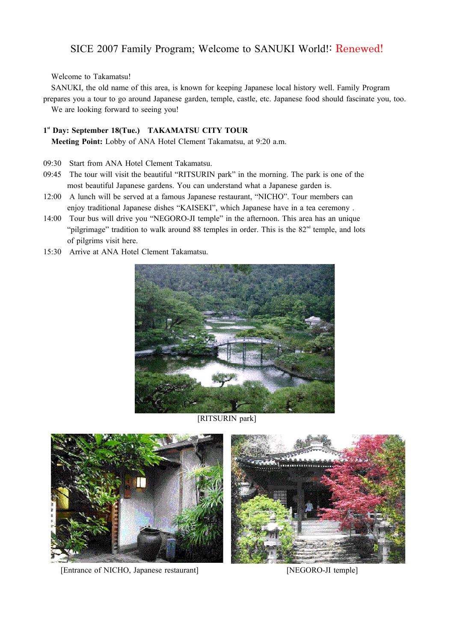## SICE 2007 Family Program; Welcome to SANUKI World!: Renewed!

Welcome to Takamatsu!

SANUKI, the old name of this area, is known for keeping Japanese local history well. Family Program prepares you a tour to go around Japanese garden, temple, castle, etc. Japanese food should fascinate you, too. We are looking forward to seeing you!

## 1<sup>st</sup> Day: September 18(Tue.) TAKAMATSU CITY TOUR

**Meeting Point:** Lobby of ANA Hotel Clement Takamatsu, at 9:20 a.m.

- 09:30 Start from ANA Hotel Clement Takamatsu.
- 09:45 The tour will visit the beautiful "RITSURIN park" in the morning. The park is one of the most beautiful Japanese gardens. You can understand what a Japanese garden is.
- 12:00 A lunch will be served at a famous Japanese restaurant, "NICHO". Tour members can enjoy traditional Japanese dishes "KAISEKI", which Japanese have in a tea ceremony .
- 14:00 Tour bus will drive you "NEGORO-JI temple" in the afternoon. This area has an unique "pilgrimage" tradition to walk around 88 temples in order. This is the  $82<sup>nd</sup>$  temple, and lots of pilgrims visit here.
- 15:30 Arrive at ANA Hotel Clement Takamatsu.



[RITSURIN park]



[Entrance of NICHO, Japanese restaurant] [NEGORO-JI temple]